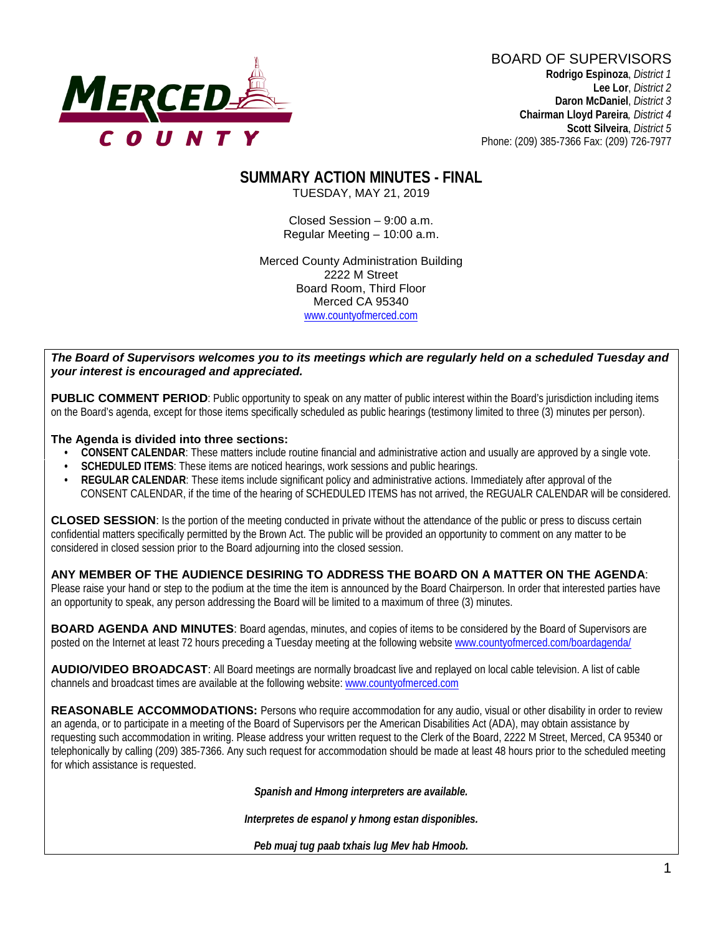

BOARD OF SUPERVISORS **Rodrigo Espinoza**, *District 1*  **Lee Lor**, *District 2*  **Daron McDaniel**, *District 3* **Chairman Lloyd Pareira***, District 4*  **Scott Silveira**, *District 5* Phone: (209) 385-7366 Fax: (209) 726-7977

# **SUMMARY ACTION MINUTES - FINAL**

TUESDAY, MAY 21, 2019

Closed Session – 9:00 a.m. Regular Meeting – 10:00 a.m.

Merced County Administration Building 2222 M Street Board Room, Third Floor Merced CA 95340 www.countyofmerced.com

#### *The Board of Supervisors welcomes you to its meetings which are regularly held on a scheduled Tuesday and your interest is encouraged and appreciated.*

**PUBLIC COMMENT PERIOD:** Public opportunity to speak on any matter of public interest within the Board's jurisdiction including items on the Board's agenda, except for those items specifically scheduled as public hearings (testimony limited to three (3) minutes per person).

#### **The Agenda is divided into three sections:**

- **CONSENT CALENDAR**: These matters include routine financial and administrative action and usually are approved by a single vote.
- **SCHEDULED ITEMS:** These items are noticed hearings, work sessions and public hearings.
- **REGULAR CALENDAR**: These items include significant policy and administrative actions. Immediately after approval of the CONSENT CALENDAR, if the time of the hearing of SCHEDULED ITEMS has not arrived, the REGUALR CALENDAR will be considered.

**CLOSED SESSION**: Is the portion of the meeting conducted in private without the attendance of the public or press to discuss certain confidential matters specifically permitted by the Brown Act. The public will be provided an opportunity to comment on any matter to be considered in closed session prior to the Board adjourning into the closed session.

#### **ANY MEMBER OF THE AUDIENCE DESIRING TO ADDRESS THE BOARD ON A MATTER ON THE AGENDA**:

Please raise your hand or step to the podium at the time the item is announced by the Board Chairperson. In order that interested parties have an opportunity to speak, any person addressing the Board will be limited to a maximum of three (3) minutes.

**BOARD AGENDA AND MINUTES:** Board agendas, minutes, and copies of items to be considered by the Board of Supervisors are posted on the Internet at least 72 hours preceding a Tuesday meeting at the following website [www.countyofmerced.com/boardagenda/](http://www.countyofmerced.com/boardagenda/) 

**AUDIO/VIDEO BROADCAST**: All Board meetings are normally broadcast live and replayed on local cable television. A list of cable channels and broadcast times are available at the following website[: www.countyofmerced.com](http://www.countyofmerced.com/)

**REASONABLE ACCOMMODATIONS:** Persons who require accommodation for any audio, visual or other disability in order to review an agenda, or to participate in a meeting of the Board of Supervisors per the American Disabilities Act (ADA), may obtain assistance by requesting such accommodation in writing. Please address your written request to the Clerk of the Board, 2222 M Street, Merced, CA 95340 or telephonically by calling (209) 385-7366. Any such request for accommodation should be made at least 48 hours prior to the scheduled meeting for which assistance is requested.

*Spanish and Hmong interpreters are available.*

*Interpretes de espanol y hmong estan disponibles.*

*Peb muaj tug paab txhais lug Mev hab Hmoob.*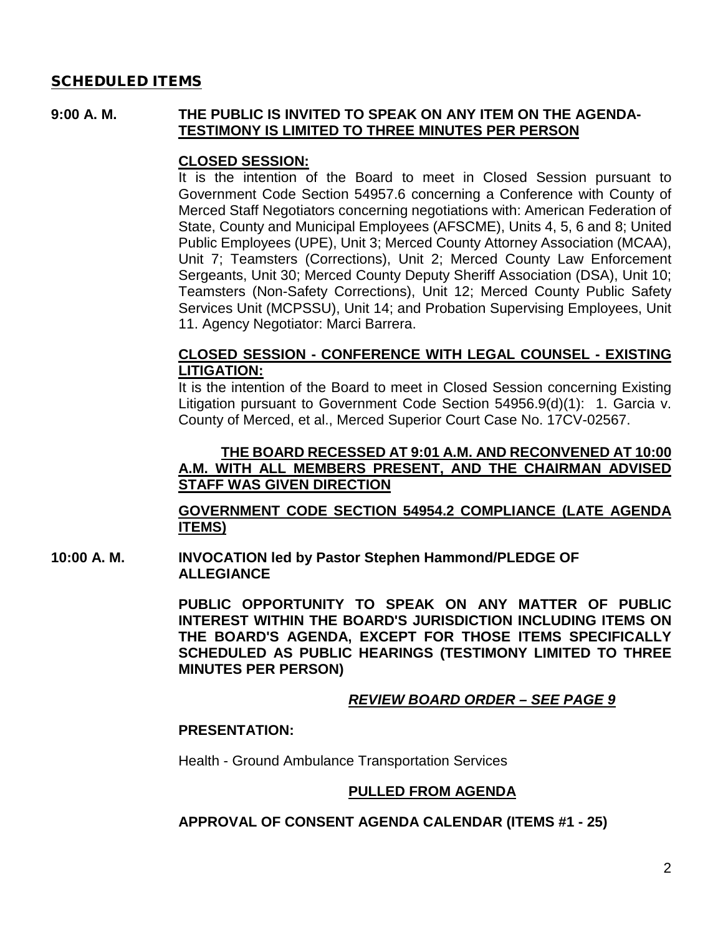#### SCHEDULED ITEMS

#### **9:00 A. M. THE PUBLIC IS INVITED TO SPEAK ON ANY ITEM ON THE AGENDA-TESTIMONY IS LIMITED TO THREE MINUTES PER PERSON**

#### **CLOSED SESSION:**

It is the intention of the Board to meet in Closed Session pursuant to Government Code Section 54957.6 concerning a Conference with County of Merced Staff Negotiators concerning negotiations with: American Federation of State, County and Municipal Employees (AFSCME), Units 4, 5, 6 and 8; United Public Employees (UPE), Unit 3; Merced County Attorney Association (MCAA), Unit 7; Teamsters (Corrections), Unit 2; Merced County Law Enforcement Sergeants, Unit 30; Merced County Deputy Sheriff Association (DSA), Unit 10; Teamsters (Non-Safety Corrections), Unit 12; Merced County Public Safety Services Unit (MCPSSU), Unit 14; and Probation Supervising Employees, Unit 11. Agency Negotiator: Marci Barrera.

#### **CLOSED SESSION - CONFERENCE WITH LEGAL COUNSEL - EXISTING LITIGATION:**

It is the intention of the Board to meet in Closed Session concerning Existing Litigation pursuant to Government Code Section 54956.9(d)(1): 1. Garcia v. County of Merced, et al., Merced Superior Court Case No. 17CV-02567.

#### **THE BOARD RECESSED AT 9:01 A.M. AND RECONVENED AT 10:00 A.M. WITH ALL MEMBERS PRESENT, AND THE CHAIRMAN ADVISED STAFF WAS GIVEN DIRECTION**

#### **GOVERNMENT CODE SECTION 54954.2 COMPLIANCE (LATE AGENDA ITEMS)**

**10:00 A. M. INVOCATION led by Pastor Stephen Hammond/PLEDGE OF ALLEGIANCE**

> **PUBLIC OPPORTUNITY TO SPEAK ON ANY MATTER OF PUBLIC INTEREST WITHIN THE BOARD'S JURISDICTION INCLUDING ITEMS ON THE BOARD'S AGENDA, EXCEPT FOR THOSE ITEMS SPECIFICALLY SCHEDULED AS PUBLIC HEARINGS (TESTIMONY LIMITED TO THREE MINUTES PER PERSON)**

#### *REVIEW BOARD ORDER – SEE PAGE 9*

#### **PRESENTATION:**

Health - Ground Ambulance Transportation Services

#### **PULLED FROM AGENDA**

#### **APPROVAL OF CONSENT AGENDA CALENDAR (ITEMS #1 - 25)**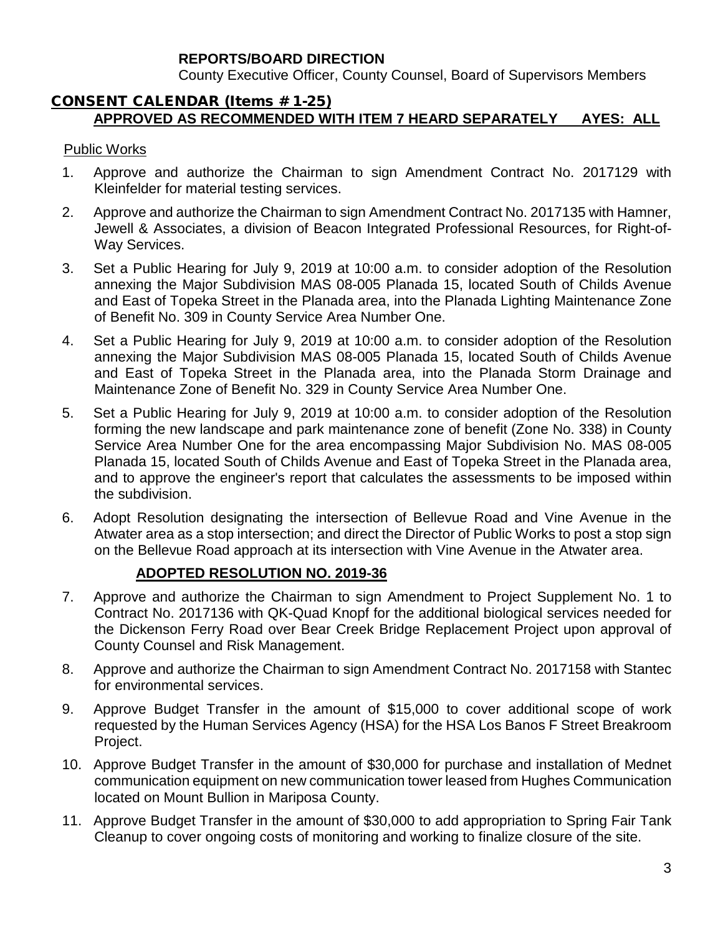### **REPORTS/BOARD DIRECTION**

County Executive Officer, County Counsel, Board of Supervisors Members

#### CONSENT CALENDAR (Items # 1-25) **APPROVED AS RECOMMENDED WITH ITEM 7 HEARD SEPARATELY AYES: ALL**

### Public Works

- 1. Approve and authorize the Chairman to sign Amendment Contract No. 2017129 with Kleinfelder for material testing services.
- 2. Approve and authorize the Chairman to sign Amendment Contract No. 2017135 with Hamner, Jewell & Associates, a division of Beacon Integrated Professional Resources, for Right-of-Way Services.
- 3. Set a Public Hearing for July 9, 2019 at 10:00 a.m. to consider adoption of the Resolution annexing the Major Subdivision MAS 08-005 Planada 15, located South of Childs Avenue and East of Topeka Street in the Planada area, into the Planada Lighting Maintenance Zone of Benefit No. 309 in County Service Area Number One.
- 4. Set a Public Hearing for July 9, 2019 at 10:00 a.m. to consider adoption of the Resolution annexing the Major Subdivision MAS 08-005 Planada 15, located South of Childs Avenue and East of Topeka Street in the Planada area, into the Planada Storm Drainage and Maintenance Zone of Benefit No. 329 in County Service Area Number One.
- 5. Set a Public Hearing for July 9, 2019 at 10:00 a.m. to consider adoption of the Resolution forming the new landscape and park maintenance zone of benefit (Zone No. 338) in County Service Area Number One for the area encompassing Major Subdivision No. MAS 08-005 Planada 15, located South of Childs Avenue and East of Topeka Street in the Planada area, and to approve the engineer's report that calculates the assessments to be imposed within the subdivision.
- 6. Adopt Resolution designating the intersection of Bellevue Road and Vine Avenue in the Atwater area as a stop intersection; and direct the Director of Public Works to post a stop sign on the Bellevue Road approach at its intersection with Vine Avenue in the Atwater area.

## **ADOPTED RESOLUTION NO. 2019-36**

- 7. Approve and authorize the Chairman to sign Amendment to Project Supplement No. 1 to Contract No. 2017136 with QK-Quad Knopf for the additional biological services needed for the Dickenson Ferry Road over Bear Creek Bridge Replacement Project upon approval of County Counsel and Risk Management.
- 8. Approve and authorize the Chairman to sign Amendment Contract No. 2017158 with Stantec for environmental services.
- 9. Approve Budget Transfer in the amount of \$15,000 to cover additional scope of work requested by the Human Services Agency (HSA) for the HSA Los Banos F Street Breakroom Project.
- 10. Approve Budget Transfer in the amount of \$30,000 for purchase and installation of Mednet communication equipment on new communication tower leased from Hughes Communication located on Mount Bullion in Mariposa County.
- 11. Approve Budget Transfer in the amount of \$30,000 to add appropriation to Spring Fair Tank Cleanup to cover ongoing costs of monitoring and working to finalize closure of the site.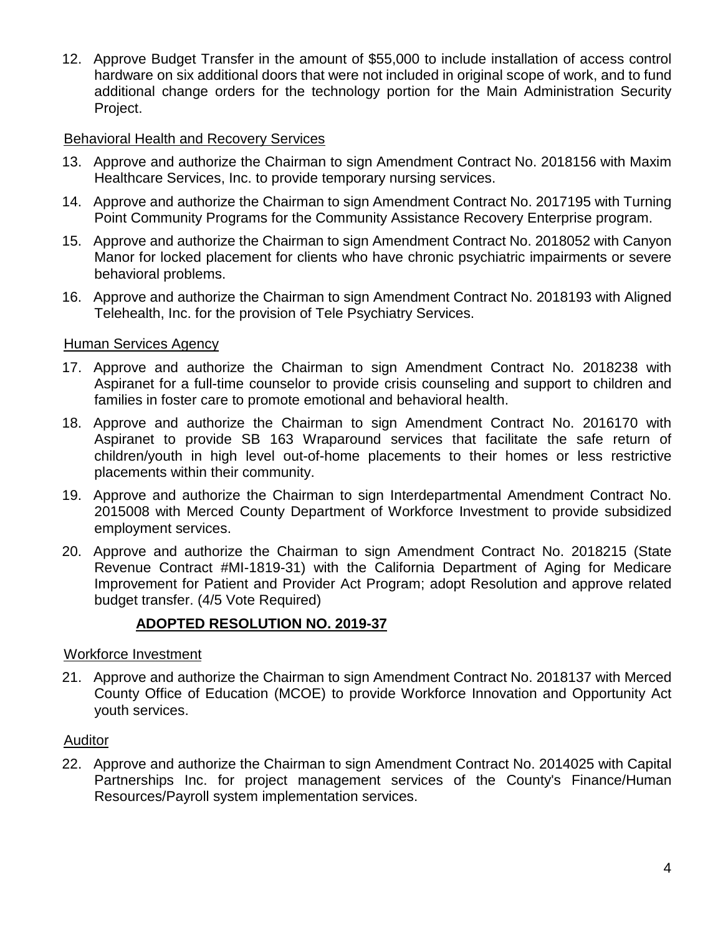12. Approve Budget Transfer in the amount of \$55,000 to include installation of access control hardware on six additional doors that were not included in original scope of work, and to fund additional change orders for the technology portion for the Main Administration Security Project.

## Behavioral Health and Recovery Services

- 13. Approve and authorize the Chairman to sign Amendment Contract No. 2018156 with Maxim Healthcare Services, Inc. to provide temporary nursing services.
- 14. Approve and authorize the Chairman to sign Amendment Contract No. 2017195 with Turning Point Community Programs for the Community Assistance Recovery Enterprise program.
- 15. Approve and authorize the Chairman to sign Amendment Contract No. 2018052 with Canyon Manor for locked placement for clients who have chronic psychiatric impairments or severe behavioral problems.
- 16. Approve and authorize the Chairman to sign Amendment Contract No. 2018193 with Aligned Telehealth, Inc. for the provision of Tele Psychiatry Services.

### Human Services Agency

- 17. Approve and authorize the Chairman to sign Amendment Contract No. 2018238 with Aspiranet for a full-time counselor to provide crisis counseling and support to children and families in foster care to promote emotional and behavioral health.
- 18. Approve and authorize the Chairman to sign Amendment Contract No. 2016170 with Aspiranet to provide SB 163 Wraparound services that facilitate the safe return of children/youth in high level out-of-home placements to their homes or less restrictive placements within their community.
- 19. Approve and authorize the Chairman to sign Interdepartmental Amendment Contract No. 2015008 with Merced County Department of Workforce Investment to provide subsidized employment services.
- 20. Approve and authorize the Chairman to sign Amendment Contract No. 2018215 (State Revenue Contract #MI-1819-31) with the California Department of Aging for Medicare Improvement for Patient and Provider Act Program; adopt Resolution and approve related budget transfer. (4/5 Vote Required)

## **ADOPTED RESOLUTION NO. 2019-37**

#### Workforce Investment

21. Approve and authorize the Chairman to sign Amendment Contract No. 2018137 with Merced County Office of Education (MCOE) to provide Workforce Innovation and Opportunity Act youth services.

#### **Auditor**

22. Approve and authorize the Chairman to sign Amendment Contract No. 2014025 with Capital Partnerships Inc. for project management services of the County's Finance/Human Resources/Payroll system implementation services.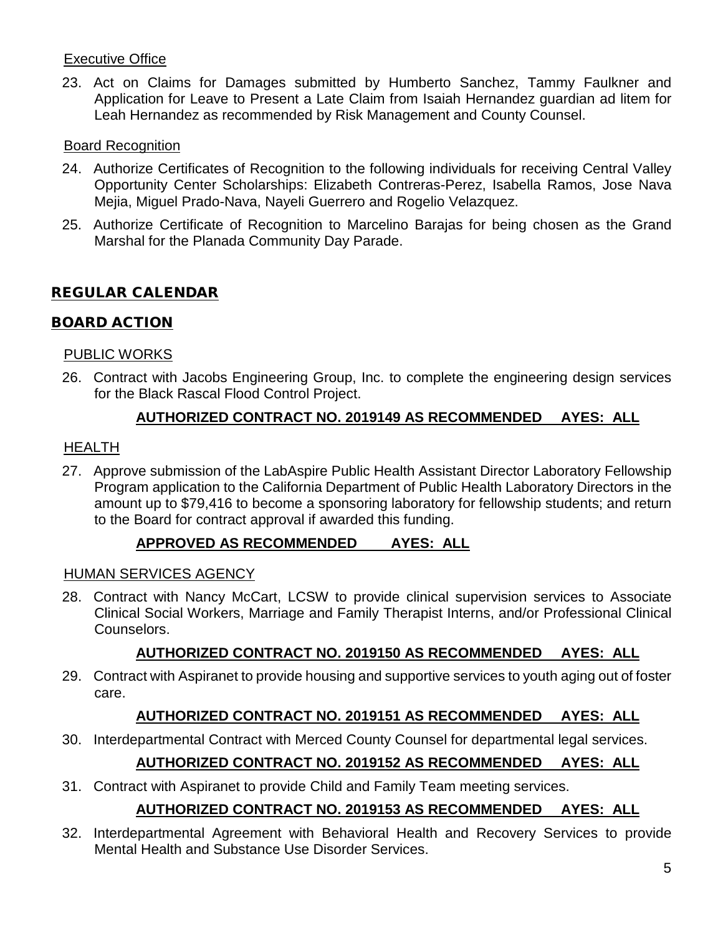## Executive Office

23. Act on Claims for Damages submitted by Humberto Sanchez, Tammy Faulkner and Application for Leave to Present a Late Claim from Isaiah Hernandez guardian ad litem for Leah Hernandez as recommended by Risk Management and County Counsel.

### Board Recognition

- 24. Authorize Certificates of Recognition to the following individuals for receiving Central Valley Opportunity Center Scholarships: Elizabeth Contreras-Perez, Isabella Ramos, Jose Nava Mejia, Miguel Prado-Nava, Nayeli Guerrero and Rogelio Velazquez.
- 25. Authorize Certificate of Recognition to Marcelino Barajas for being chosen as the Grand Marshal for the Planada Community Day Parade.

## REGULAR CALENDAR

### BOARD ACTION

#### PUBLIC WORKS

26. Contract with Jacobs Engineering Group, Inc. to complete the engineering design services for the Black Rascal Flood Control Project.

## **AUTHORIZED CONTRACT NO. 2019149 AS RECOMMENDED AYES: ALL**

### **HEALTH**

27. Approve submission of the LabAspire Public Health Assistant Director Laboratory Fellowship Program application to the California Department of Public Health Laboratory Directors in the amount up to \$79,416 to become a sponsoring laboratory for fellowship students; and return to the Board for contract approval if awarded this funding.

## **APPROVED AS RECOMMENDED AYES: ALL**

#### HUMAN SERVICES AGENCY

28. Contract with Nancy McCart, LCSW to provide clinical supervision services to Associate Clinical Social Workers, Marriage and Family Therapist Interns, and/or Professional Clinical Counselors.

## **AUTHORIZED CONTRACT NO. 2019150 AS RECOMMENDED AYES: ALL**

29. Contract with Aspiranet to provide housing and supportive services to youth aging out of foster care.

## **AUTHORIZED CONTRACT NO. 2019151 AS RECOMMENDED AYES: ALL**

30. Interdepartmental Contract with Merced County Counsel for departmental legal services.

# **AUTHORIZED CONTRACT NO. 2019152 AS RECOMMENDED AYES: ALL**

31. Contract with Aspiranet to provide Child and Family Team meeting services.

## **AUTHORIZED CONTRACT NO. 2019153 AS RECOMMENDED AYES: ALL**

32. Interdepartmental Agreement with Behavioral Health and Recovery Services to provide Mental Health and Substance Use Disorder Services.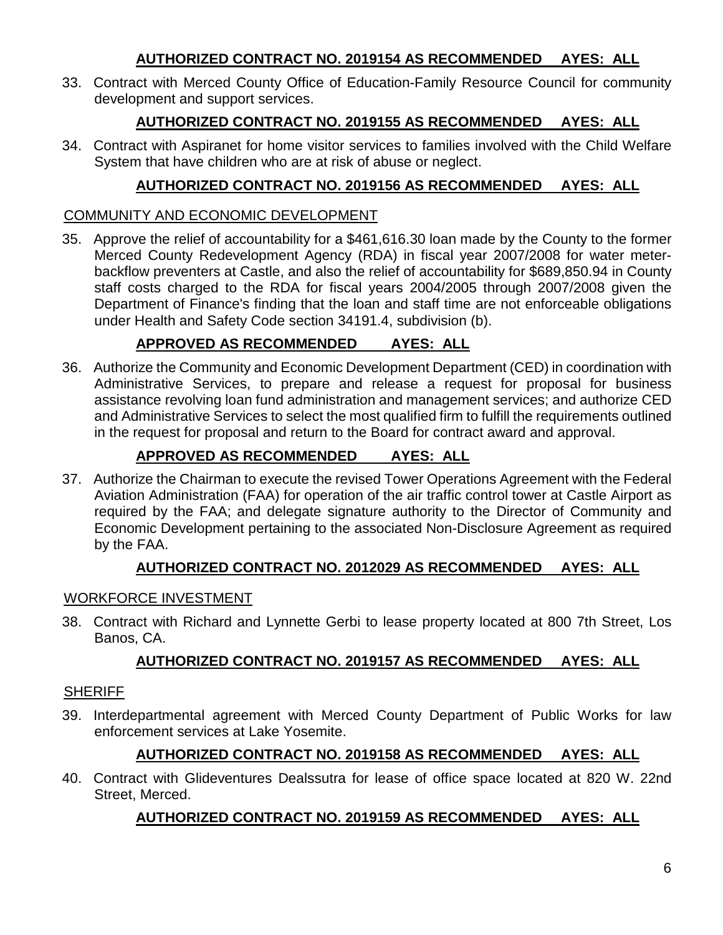# **AUTHORIZED CONTRACT NO. 2019154 AS RECOMMENDED AYES: ALL**

33. Contract with Merced County Office of Education-Family Resource Council for community development and support services.

# **AUTHORIZED CONTRACT NO. 2019155 AS RECOMMENDED AYES: ALL**

34. Contract with Aspiranet for home visitor services to families involved with the Child Welfare System that have children who are at risk of abuse or neglect.

# **AUTHORIZED CONTRACT NO. 2019156 AS RECOMMENDED AYES: ALL**

### COMMUNITY AND ECONOMIC DEVELOPMENT

35. Approve the relief of accountability for a \$461,616.30 loan made by the County to the former Merced County Redevelopment Agency (RDA) in fiscal year 2007/2008 for water meterbackflow preventers at Castle, and also the relief of accountability for \$689,850.94 in County staff costs charged to the RDA for fiscal years 2004/2005 through 2007/2008 given the Department of Finance's finding that the loan and staff time are not enforceable obligations under Health and Safety Code section 34191.4, subdivision (b).

# **APPROVED AS RECOMMENDED AYES: ALL**

36. Authorize the Community and Economic Development Department (CED) in coordination with Administrative Services, to prepare and release a request for proposal for business assistance revolving loan fund administration and management services; and authorize CED and Administrative Services to select the most qualified firm to fulfill the requirements outlined in the request for proposal and return to the Board for contract award and approval.

# **APPROVED AS RECOMMENDED AYES: ALL**

37. Authorize the Chairman to execute the revised Tower Operations Agreement with the Federal Aviation Administration (FAA) for operation of the air traffic control tower at Castle Airport as required by the FAA; and delegate signature authority to the Director of Community and Economic Development pertaining to the associated Non-Disclosure Agreement as required by the FAA.

## **AUTHORIZED CONTRACT NO. 2012029 AS RECOMMENDED AYES: ALL**

## WORKFORCE INVESTMENT

38. Contract with Richard and Lynnette Gerbi to lease property located at 800 7th Street, Los Banos, CA.

# **AUTHORIZED CONTRACT NO. 2019157 AS RECOMMENDED AYES: ALL**

## **SHERIFF**

39. Interdepartmental agreement with Merced County Department of Public Works for law enforcement services at Lake Yosemite.

# **AUTHORIZED CONTRACT NO. 2019158 AS RECOMMENDED AYES: ALL**

40. Contract with Glideventures Dealssutra for lease of office space located at 820 W. 22nd Street, Merced.

# **AUTHORIZED CONTRACT NO. 2019159 AS RECOMMENDED AYES: ALL**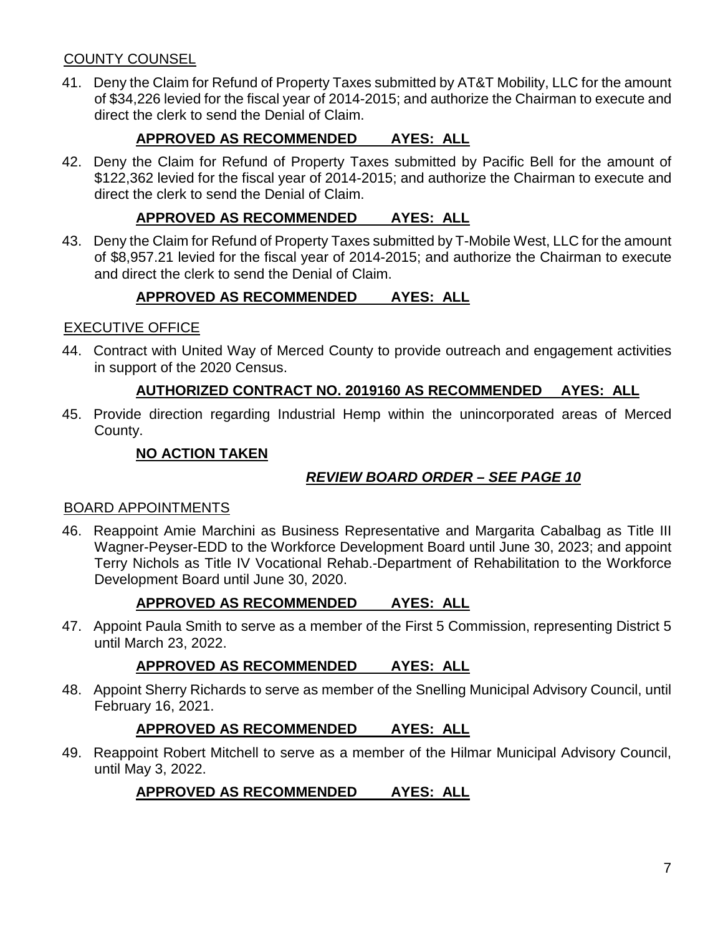# COUNTY COUNSEL

41. Deny the Claim for Refund of Property Taxes submitted by AT&T Mobility, LLC for the amount of \$34,226 levied for the fiscal year of 2014-2015; and authorize the Chairman to execute and direct the clerk to send the Denial of Claim.

# **APPROVED AS RECOMMENDED AYES: ALL**

42. Deny the Claim for Refund of Property Taxes submitted by Pacific Bell for the amount of \$122,362 levied for the fiscal year of 2014-2015; and authorize the Chairman to execute and direct the clerk to send the Denial of Claim.

# **APPROVED AS RECOMMENDED AYES: ALL**

43. Deny the Claim for Refund of Property Taxes submitted by T-Mobile West, LLC for the amount of \$8,957.21 levied for the fiscal year of 2014-2015; and authorize the Chairman to execute and direct the clerk to send the Denial of Claim.

# **APPROVED AS RECOMMENDED AYES: ALL**

## EXECUTIVE OFFICE

44. Contract with United Way of Merced County to provide outreach and engagement activities in support of the 2020 Census.

# **AUTHORIZED CONTRACT NO. 2019160 AS RECOMMENDED AYES: ALL**

45. Provide direction regarding Industrial Hemp within the unincorporated areas of Merced County.

# **NO ACTION TAKEN**

# *REVIEW BOARD ORDER – SEE PAGE 10*

## BOARD APPOINTMENTS

46. Reappoint Amie Marchini as Business Representative and Margarita Cabalbag as Title III Wagner-Peyser-EDD to the Workforce Development Board until June 30, 2023; and appoint Terry Nichols as Title IV Vocational Rehab.-Department of Rehabilitation to the Workforce Development Board until June 30, 2020.

# **APPROVED AS RECOMMENDED AYES: ALL**

47. Appoint Paula Smith to serve as a member of the First 5 Commission, representing District 5 until March 23, 2022.

# **APPROVED AS RECOMMENDED AYES: ALL**

48. Appoint Sherry Richards to serve as member of the Snelling Municipal Advisory Council, until February 16, 2021.

## **APPROVED AS RECOMMENDED AYES: ALL**

49. Reappoint Robert Mitchell to serve as a member of the Hilmar Municipal Advisory Council, until May 3, 2022.

# **APPROVED AS RECOMMENDED AYES: ALL**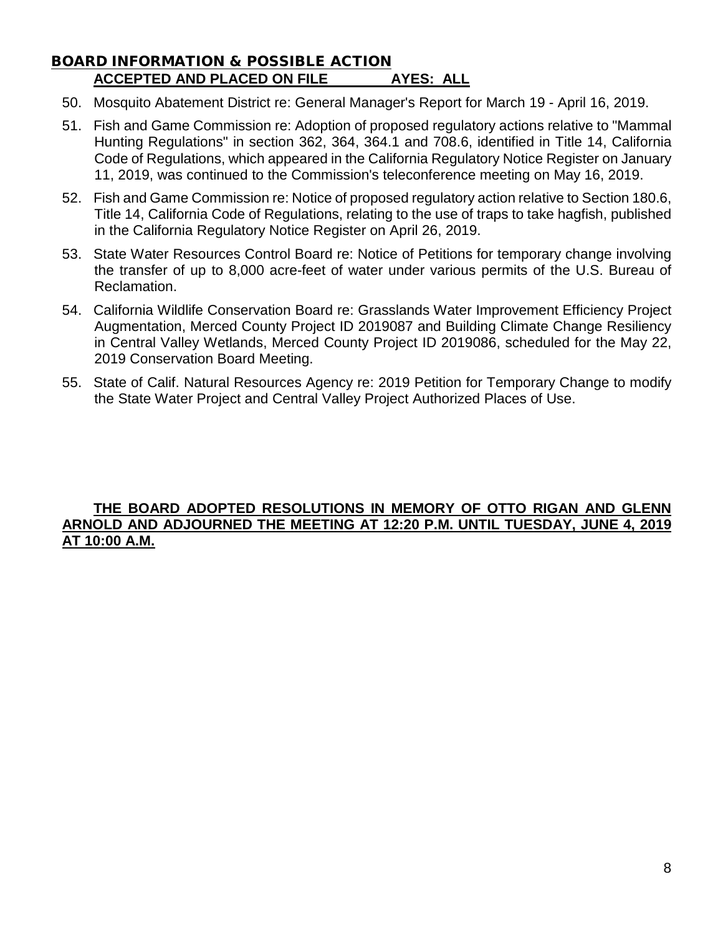## BOARD INFORMATION & POSSIBLE ACTION **ACCEPTED AND PLACED ON FILE AYES: ALL**

- 50. Mosquito Abatement District re: General Manager's Report for March 19 April 16, 2019.
- 51. Fish and Game Commission re: Adoption of proposed regulatory actions relative to "Mammal Hunting Regulations" in section 362, 364, 364.1 and 708.6, identified in Title 14, California Code of Regulations, which appeared in the California Regulatory Notice Register on January 11, 2019, was continued to the Commission's teleconference meeting on May 16, 2019.
- 52. Fish and Game Commission re: Notice of proposed regulatory action relative to Section 180.6, Title 14, California Code of Regulations, relating to the use of traps to take hagfish, published in the California Regulatory Notice Register on April 26, 2019.
- 53. State Water Resources Control Board re: Notice of Petitions for temporary change involving the transfer of up to 8,000 acre-feet of water under various permits of the U.S. Bureau of Reclamation.
- 54. California Wildlife Conservation Board re: Grasslands Water Improvement Efficiency Project Augmentation, Merced County Project ID 2019087 and Building Climate Change Resiliency in Central Valley Wetlands, Merced County Project ID 2019086, scheduled for the May 22, 2019 Conservation Board Meeting.
- 55. State of Calif. Natural Resources Agency re: 2019 Petition for Temporary Change to modify the State Water Project and Central Valley Project Authorized Places of Use.

#### **THE BOARD ADOPTED RESOLUTIONS IN MEMORY OF OTTO RIGAN AND GLENN ARNOLD AND ADJOURNED THE MEETING AT 12:20 P.M. UNTIL TUESDAY, JUNE 4, 2019 AT 10:00 A.M.**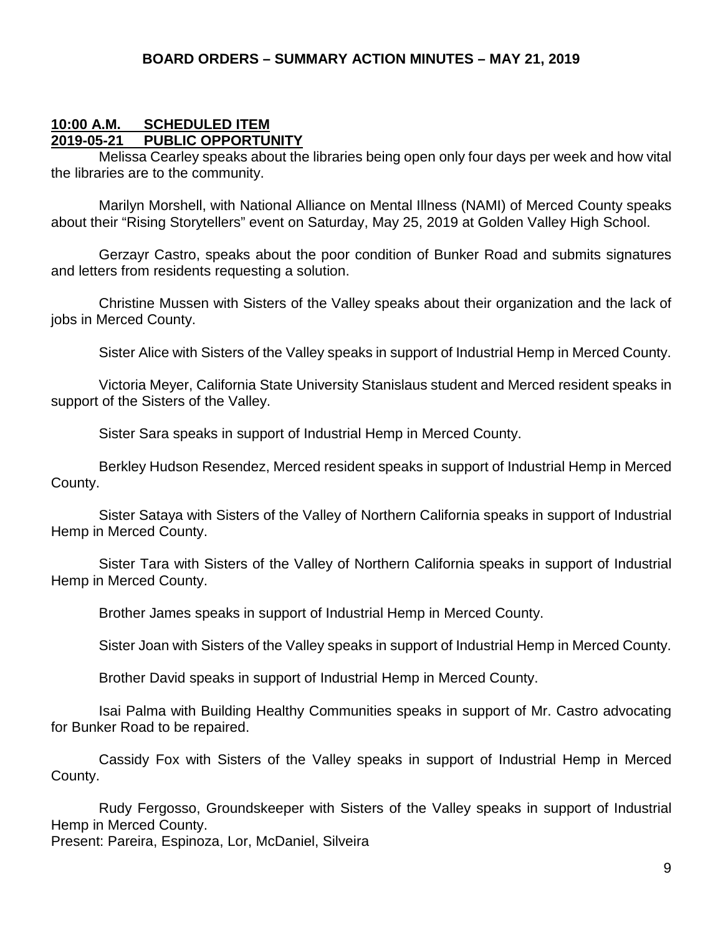#### **10:00 A.M. SCHEDULED ITEM 2019-05-21 PUBLIC OPPORTUNITY**

Melissa Cearley speaks about the libraries being open only four days per week and how vital the libraries are to the community.

Marilyn Morshell, with National Alliance on Mental Illness (NAMI) of Merced County speaks about their "Rising Storytellers" event on Saturday, May 25, 2019 at Golden Valley High School.

Gerzayr Castro, speaks about the poor condition of Bunker Road and submits signatures and letters from residents requesting a solution.

Christine Mussen with Sisters of the Valley speaks about their organization and the lack of jobs in Merced County.

Sister Alice with Sisters of the Valley speaks in support of Industrial Hemp in Merced County.

Victoria Meyer, California State University Stanislaus student and Merced resident speaks in support of the Sisters of the Valley.

Sister Sara speaks in support of Industrial Hemp in Merced County.

Berkley Hudson Resendez, Merced resident speaks in support of Industrial Hemp in Merced County.

Sister Sataya with Sisters of the Valley of Northern California speaks in support of Industrial Hemp in Merced County.

Sister Tara with Sisters of the Valley of Northern California speaks in support of Industrial Hemp in Merced County.

Brother James speaks in support of Industrial Hemp in Merced County.

Sister Joan with Sisters of the Valley speaks in support of Industrial Hemp in Merced County.

Brother David speaks in support of Industrial Hemp in Merced County.

Isai Palma with Building Healthy Communities speaks in support of Mr. Castro advocating for Bunker Road to be repaired.

Cassidy Fox with Sisters of the Valley speaks in support of Industrial Hemp in Merced County.

Rudy Fergosso, Groundskeeper with Sisters of the Valley speaks in support of Industrial Hemp in Merced County.

Present: Pareira, Espinoza, Lor, McDaniel, Silveira